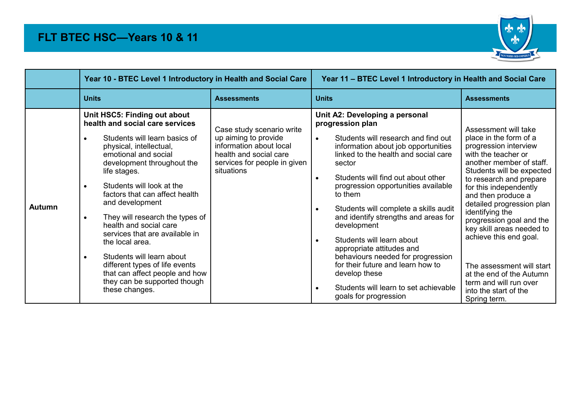

|               | Year 10 - BTEC Level 1 Introductory in Health and Social Care                                                                                                                                                                                                                                                                                                                                                                                                                                                                                                                                                |                                                                                                                                                      | Year 11 - BTEC Level 1 Introductory in Health and Social Care                                                                                                                                                                                                                                                                                                                                                                                                                                                                                                                                                                                                      |                                                                                                                                                                                                                                                                                                                                                                                                                                                                                                   |  |
|---------------|--------------------------------------------------------------------------------------------------------------------------------------------------------------------------------------------------------------------------------------------------------------------------------------------------------------------------------------------------------------------------------------------------------------------------------------------------------------------------------------------------------------------------------------------------------------------------------------------------------------|------------------------------------------------------------------------------------------------------------------------------------------------------|--------------------------------------------------------------------------------------------------------------------------------------------------------------------------------------------------------------------------------------------------------------------------------------------------------------------------------------------------------------------------------------------------------------------------------------------------------------------------------------------------------------------------------------------------------------------------------------------------------------------------------------------------------------------|---------------------------------------------------------------------------------------------------------------------------------------------------------------------------------------------------------------------------------------------------------------------------------------------------------------------------------------------------------------------------------------------------------------------------------------------------------------------------------------------------|--|
|               | <b>Units</b>                                                                                                                                                                                                                                                                                                                                                                                                                                                                                                                                                                                                 | <b>Assessments</b>                                                                                                                                   | <b>Units</b>                                                                                                                                                                                                                                                                                                                                                                                                                                                                                                                                                                                                                                                       | <b>Assessments</b>                                                                                                                                                                                                                                                                                                                                                                                                                                                                                |  |
| <b>Autumn</b> | Unit HSC5: Finding out about<br>health and social care services<br>Students will learn basics of<br>$\bullet$<br>physical, intellectual,<br>emotional and social<br>development throughout the<br>life stages.<br>Students will look at the<br>$\bullet$<br>factors that can affect health<br>and development<br>They will research the types of<br>$\bullet$<br>health and social care<br>services that are available in<br>the local area.<br>Students will learn about<br>$\bullet$<br>different types of life events<br>that can affect people and how<br>they can be supported though<br>these changes. | Case study scenario write<br>up aiming to provide<br>information about local<br>health and social care<br>services for people in given<br>situations | Unit A2: Developing a personal<br>progression plan<br>Students will research and find out<br>$\bullet$<br>information about job opportunities<br>linked to the health and social care<br>sector<br>Students will find out about other<br>$\bullet$<br>progression opportunities available<br>to them<br>Students will complete a skills audit<br>$\bullet$<br>and identify strengths and areas for<br>development<br>Students will learn about<br>$\bullet$<br>appropriate attitudes and<br>behaviours needed for progression<br>for their future and learn how to<br>develop these<br>Students will learn to set achievable<br>$\bullet$<br>goals for progression | Assessment will take<br>place in the form of a<br>progression interview<br>with the teacher or<br>another member of staff.<br>Students will be expected<br>to research and prepare<br>for this independently<br>and then produce a<br>detailed progression plan<br>identifying the<br>progression goal and the<br>key skill areas needed to<br>achieve this end goal.<br>The assessment will start<br>at the end of the Autumn<br>term and will run over<br>into the start of the<br>Spring term. |  |